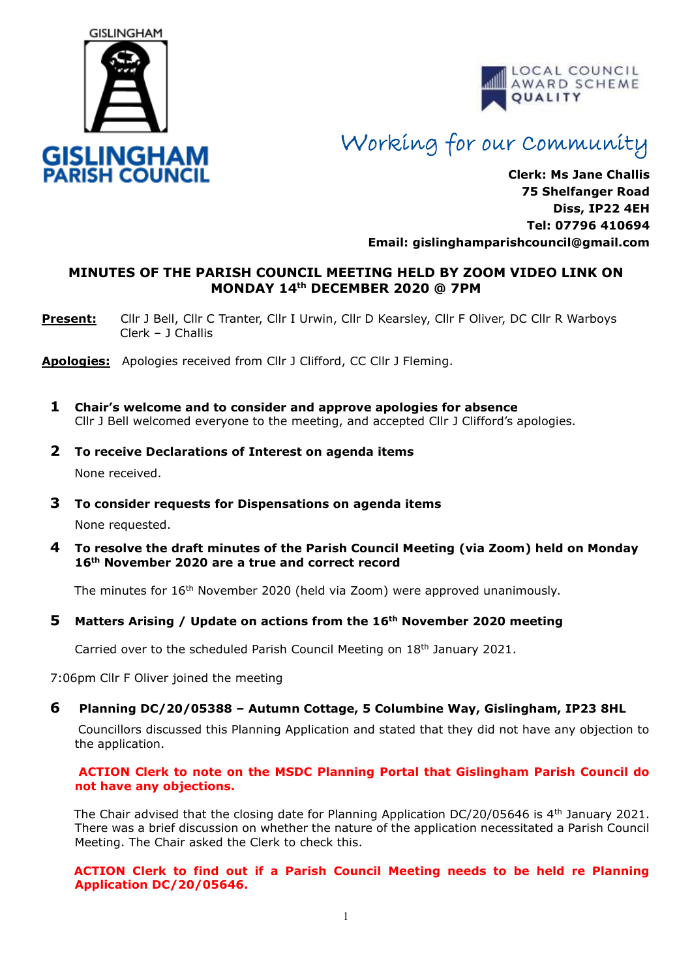



# Working for our Community

**Clerk: Ms Jane Challis 75 Shelfanger Road Diss, IP22 4EH Tel: 07796 410694 Email: [gislinghamparishcouncil@gmail.com](mailto:gislinghamparishcouncil@gmail.com)**

### **MINUTES OF THE PARISH COUNCIL MEETING HELD BY ZOOM VIDEO LINK ON MONDAY 14th DECEMBER 2020 @ 7PM**

**Present:** Cllr J Bell, Cllr C Tranter, Cllr I Urwin, Cllr D Kearsley, Cllr F Oliver, DC Cllr R Warboys Clerk – J Challis

**Apologies:** Apologies received from Cllr J Clifford, CC Cllr J Fleming.

- **1 Chair's welcome and to consider and approve apologies for absence** Cllr J Bell welcomed everyone to the meeting, and accepted Cllr J Clifford's apologies.
- **2 To receive Declarations of Interest on agenda items** None received.
- **3 To consider requests for Dispensations on agenda items**

None requested.

**4 To resolve the draft minutes of the Parish Council Meeting (via Zoom) held on Monday 16th November 2020 are a true and correct record** 

The minutes for 16<sup>th</sup> November 2020 (held via Zoom) were approved unanimously.

#### **5 Matters Arising / Update on actions from the 16th November 2020 meeting**

Carried over to the scheduled Parish Council Meeting on 18th January 2021.

7:06pm Cllr F Oliver joined the meeting

#### **6 Planning DC/20/05388 – Autumn Cottage, 5 Columbine Way, Gislingham, IP23 8HL**

Councillors discussed this Planning Application and stated that they did not have any objection to the application.

#### **ACTION Clerk to note on the MSDC Planning Portal that Gislingham Parish Council do not have any objections.**

The Chair advised that the closing date for Planning Application DC/20/05646 is 4th January 2021. There was a brief discussion on whether the nature of the application necessitated a Parish Council Meeting. The Chair asked the Clerk to check this.

#### **ACTION Clerk to find out if a Parish Council Meeting needs to be held re Planning Application DC/20/05646.**